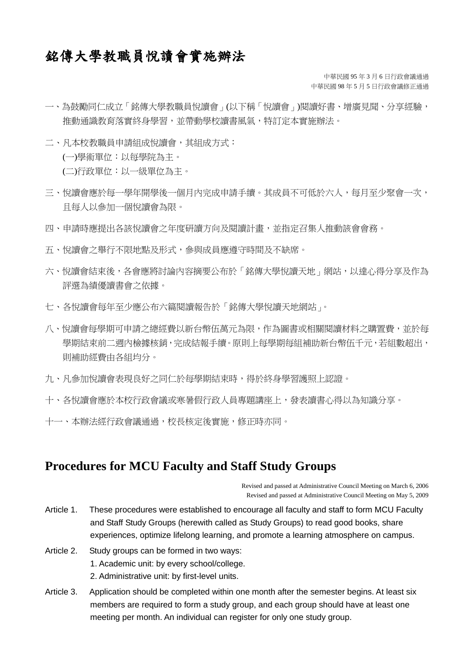## 銘傳大學教職員悅讀會實施辦法

中華民國 95 年 3 月 6 日行政會議通過 中華民國 98 年 5 月 5 日行政會議修正通過

- 一、為鼓勵同仁成立「銘傳大學教職員悅讀會」(以下稱「悅讀會」)閱讀好書、增廣見聞、分享經驗, 推動通識教育落實終身學習,並帶動學校讀書風氣,特訂定本實施辦法。
- 二、凡本校教職員申請組成悅讀會,其組成方式: (一)學術單位:以每學院為主。 (二)行政單位:以一級單位為主。
- 三、悅讀會應於每一學年開學後一個月內完成申請手續。其成員不可低於六人,每月至少聚會一次, 且每人以參加一個悅讀會為限。
- 四、申請時應提出各該悅讀會之年度研讀方向及閱讀計畫,並指定召集人推動該會會務。
- 五、悅讀會之舉行不限地點及形式,參與成員應遵守時間及不缺席。
- 六、悅讀會結束後,各會應將討論內容摘要公布於「銘傳大學悅讀天地」網站,以達心得分享及作為 評選為績優讀書會之依據。
- 七、各悅讀會每年至少應公布六篇閱讀報告於「銘傳大學悅讀天地網站」。
- 八、悅讀會每學期可申請之總經費以新台幣伍萬元為限,作為圖書或相關閱讀材料之購置費,並於每 學期結束前二週內檢據核銷,完成結報手續。原則上每學期每組補助新台幣伍千元,若組數超出, 則補助經費由各組均分。
- 九、凡參加悅讀會表現良好之同仁於每學期結束時,得於終身學習護照上認證。
- 十、各悅讀會應於本校行政會議或寒暑假行政人員專題講座上,發表讀書心得以為知識分享。
- 十一、本辦法經行政會議通過,校長核定後實施,修正時亦同。

## **Procedures for MCU Faculty and Staff Study Groups**

Revised and passed at Administrative Council Meeting on March 6, 2006 Revised and passed at Administrative Council Meeting on May 5, 2009

- Article 1. These procedures were established to encourage all faculty and staff to form MCU Faculty and Staff Study Groups (herewith called as Study Groups) to read good books, share experiences, optimize lifelong learning, and promote a learning atmosphere on campus.
- Article 2. Study groups can be formed in two ways: 1. Academic unit: by every school/college.
	- 2. Administrative unit: by first-level units.
- Article 3. Application should be completed within one month after the semester begins. At least six members are required to form a study group, and each group should have at least one meeting per month. An individual can register for only one study group.